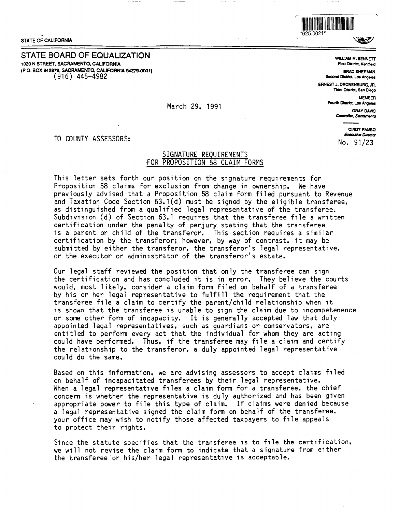STATE OF CALIFORNIA

STATE BOARD OF EQUALIZATION 1020 N STREET, SACRAMENTO, CALIFORNIA (P.O. BOX 942879, SACRAMENTO, CALIFORNIA 94279-0001)  $(916)$  445-4982



52

**WILLIAM M. BENNETT** First District, Kentflakt

**BRAD SHERMAN** Second District, Los Angeles

**ERNEST J. DRONENBURG. JR.** Third District, San Diego

> **MEMBER** Fourth District, Los Angeles **GRAY DAVIS**

Controller, Sacramento

**CINDY RAMBO Executive Director** No. 91/23

TO COUNTY ASSESSORS:

## SIGNATURE REOUIREMENTS FOR PROPOSITION 58 CLAIM FORMS

March 29, 1991

This letter sets forth our position on the signature requirements for Proposition 58 claims for exclusion from change in ownership. We have previously advised that a Proposition 58 claim form filed pursuant to Revenue and Taxation Code Section 63.1(d) must be signed by the eligible transferee, as distinguished from a qualified legal representative of the transferee. Subdivision (d) of Section 63.1 requires that the transferee file a written certification under the penalty of perjury stating that the transferee is a parent or child of the transferor. This section requires a similar certification by the transferor; however, by way of contrast, it may be submitted by either the transferor, the transferor's legal representative, or the executor or administrator of the transferor's estate.

Our legal staff reviewed the position that only the transferee can sign the certification and has concluded it is in error. They believe the courts would, most likely, consider a claim form filed on behalf of a transferee by his or her legal representative to fulfill the requirement that the transferee file a claim to certify the parent/child relationship when it is shown that the transferee is unable to sign the claim due to incompetenence or some other form of incapacity. It is generally accepted law that duly appointed legal representatives, such as quardians or conservators, are entitled to perform every act that the individual for whom they are acting could have performed. Thus, if the transferee may file a claim and certify the relationship to the transferor, a duly appointed legal representative could do the same.

Based on this information, we are advising assessors to accept claims filed on behalf of incapacitated transferees by their legal representative. When a legal representative files a claim form for a transferee, the chief concern is whether the representative is duly authorized and has been given appropriate power to file this type of claim. If claims were denied because a legal representative signed the claim form on behalf of the transferee. your office may wish to notify those affected taxpayers to file appeals to protect their rights.

Since the statute specifies that the transferee is to file the certification, we will not revise the claim form to indicate that a signature from either the transferee or his/her legal representative is acceptable.